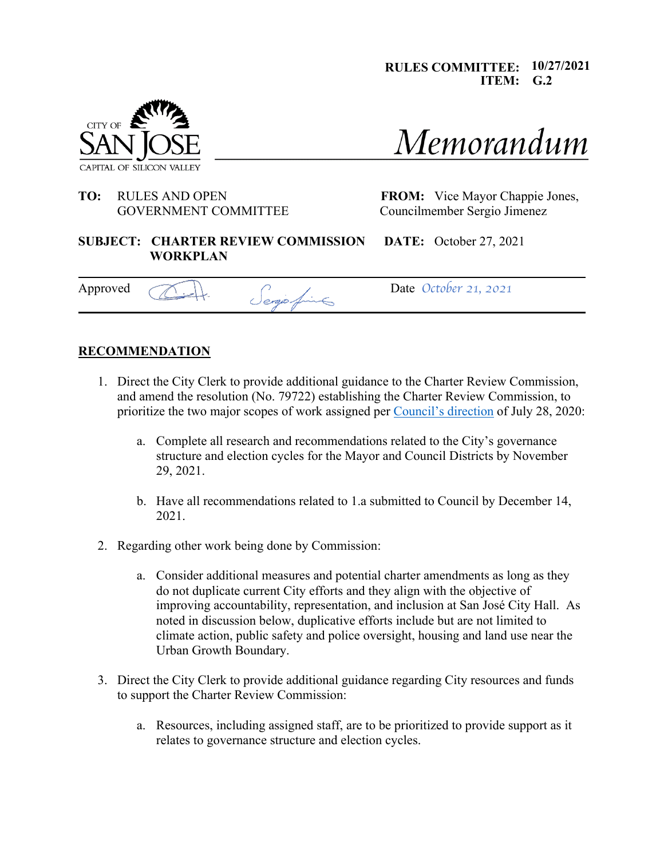**RULES COMMITTEE: 10/27/2021 ITEM: G.2**



# **TO:** RULES AND OPEN **FROM:** Vice Mayor Chappie Jones, GOVERNMENT COMMITTEE Councilmember Sergio Jimenez

Memorandum

### **SUBJECT: CHARTER REVIEW COMMISSION DATE:** October 27, 2021  **WORKPLAN**

Approved <u>A</u> Approved Company Sergio fine

### **RECOMMENDATION**

- 1. Direct the City Clerk to provide additional guidance to the Charter Review Commission, and amend the resolution (No. 79722) establishing the Charter Review Commission, to prioritize the two major scopes of work assigned per Council's direction of July 28, 2020:
	- a. Complete all research and recommendations related to the City's governance structure and election cycles for the Mayor and Council Districts by November 29, 2021.
	- b. Have all recommendations related to 1.a submitted to Council by December 14, 2021.
- 2. Regarding other work being done by Commission:
	- a. Consider additional measures and potential charter amendments as long as they do not duplicate current City efforts and they align with the objective of improving accountability, representation, and inclusion at San José City Hall. As noted in discussion below, duplicative efforts include but are not limited to climate action, public safety and police oversight, housing and land use near the Urban Growth Boundary.
- 3. Direct the City Clerk to provide additional guidance regarding City resources and funds to support the Charter Review Commission:
	- a. Resources, including assigned staff, are to be prioritized to provide support as it relates to governance structure and election cycles.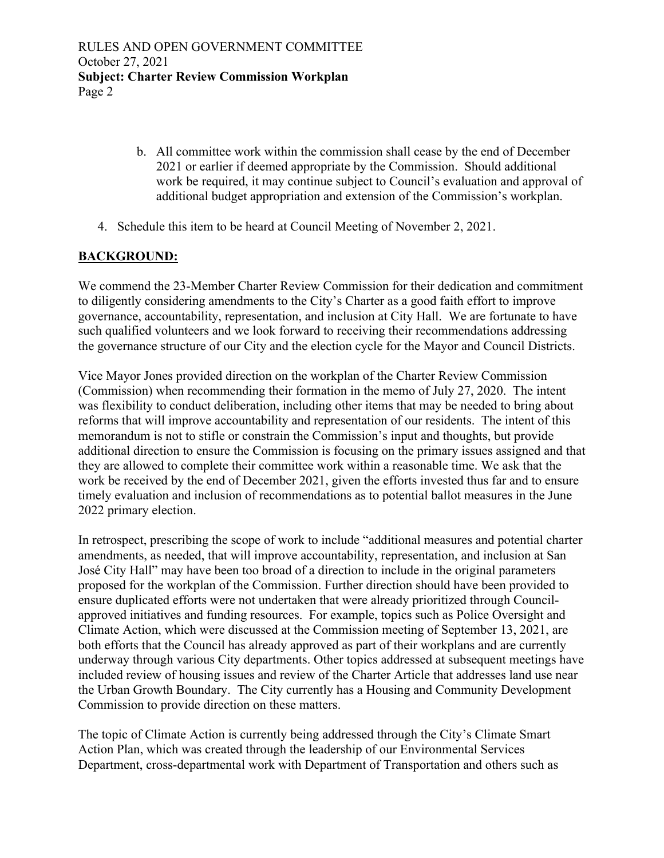- b. All committee work within the commission shall cease by the end of December 2021 or earlier if deemed appropriate by the Commission. Should additional work be required, it may continue subject to Council's evaluation and approval of additional budget appropriation and extension of the Commission's workplan.
- 4. Schedule this item to be heard at Council Meeting of November 2, 2021.

# **BACKGROUND:**

We commend the 23-Member Charter Review Commission for their dedication and commitment to diligently considering amendments to the City's Charter as a good faith effort to improve governance, accountability, representation, and inclusion at City Hall. We are fortunate to have such qualified volunteers and we look forward to receiving their recommendations addressing the governance structure of our City and the election cycle for the Mayor and Council Districts.

Vice Mayor Jones provided direction on the workplan of the Charter Review Commission (Commission) when recommending their formation in the memo of July 27, 2020. The intent was flexibility to conduct deliberation, including other items that may be needed to bring about reforms that will improve accountability and representation of our residents. The intent of this memorandum is not to stifle or constrain the Commission's input and thoughts, but provide additional direction to ensure the Commission is focusing on the primary issues assigned and that they are allowed to complete their committee work within a reasonable time. We ask that the work be received by the end of December 2021, given the efforts invested thus far and to ensure timely evaluation and inclusion of recommendations as to potential ballot measures in the June 2022 primary election.

In retrospect, prescribing the scope of work to include "additional measures and potential charter amendments, as needed, that will improve accountability, representation, and inclusion at San José City Hall" may have been too broad of a direction to include in the original parameters proposed for the workplan of the Commission. Further direction should have been provided to ensure duplicated efforts were not undertaken that were already prioritized through Councilapproved initiatives and funding resources. For example, topics such as Police Oversight and Climate Action, which were discussed at the Commission meeting of September 13, 2021, are both efforts that the Council has already approved as part of their workplans and are currently underway through various City departments. Other topics addressed at subsequent meetings have included review of housing issues and review of the Charter Article that addresses land use near the Urban Growth Boundary. The City currently has a Housing and Community Development Commission to provide direction on these matters.

The topic of Climate Action is currently being addressed through the City's Climate Smart Action Plan, which was created through the leadership of our Environmental Services Department, cross-departmental work with Department of Transportation and others such as